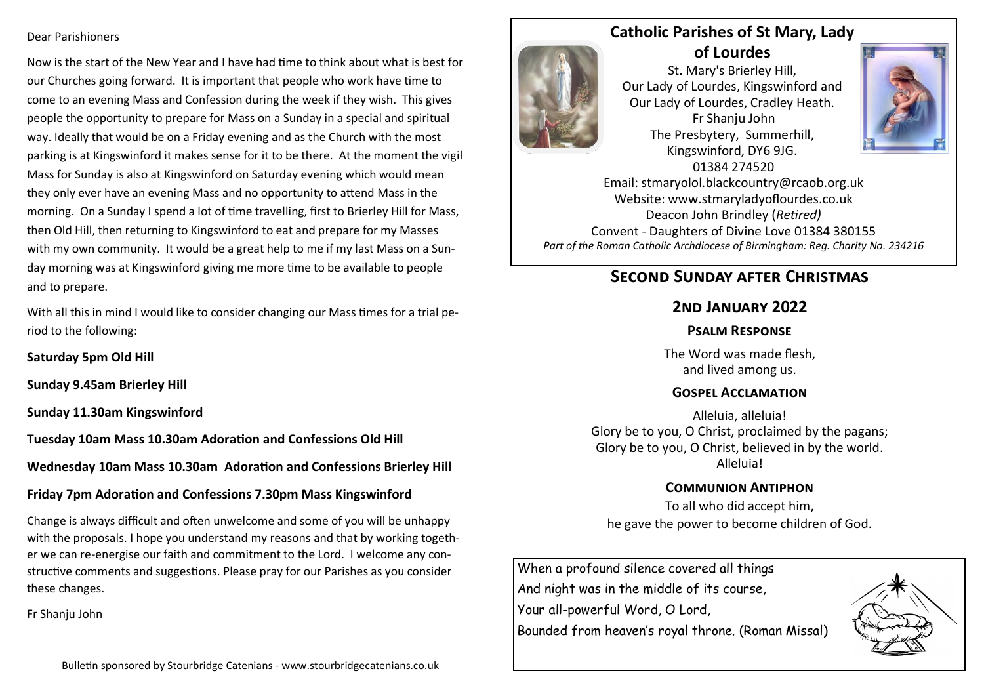#### Dear Parishioners

Now is the start of the New Year and I have had time to think about what is best for our Churches going forward. It is important that people who work have time to come to an evening Mass and Confession during the week if they wish. This gives people the opportunity to prepare for Mass on a Sunday in a special and spiritual way. Ideally that would be on a Friday evening and as the Church with the most parking is at Kingswinford it makes sense for it to be there. At the moment the vigil Mass for Sunday is also at Kingswinford on Saturday evening which would mean they only ever have an evening Mass and no opportunity to attend Mass in the morning. On a Sunday I spend a lot of time travelling, first to Brierley Hill for Mass, then Old Hill, then returning to Kingswinford to eat and prepare for my Masses with my own community. It would be a great help to me if my last Mass on a Sunday morning was at Kingswinford giving me more time to be available to people and to prepare.

With all this in mind I would like to consider changing our Mass times for a trial period to the following:

**Saturday 5pm Old Hill**

**Sunday 9.45am Brierley Hill**

**Sunday 11.30am Kingswinford**

**Tuesday 10am Mass 10.30am Adoration and Confessions Old Hill**

**Wednesday 10am Mass 10.30am Adoration and Confessions Brierley Hill**

### **Friday 7pm Adoration and Confessions 7.30pm Mass Kingswinford**

Change is always difficult and often unwelcome and some of you will be unhappy with the proposals. I hope you understand my reasons and that by working together we can re-energise our faith and commitment to the Lord. I welcome any constructive comments and suggestions. Please pray for our Parishes as you consider these changes.

Fr Shanju John





**Catholic Parishes of St Mary, Lady of Lourdes** 

St. Mary's Brierley Hill, Our Lady of Lourdes, Kingswinford and Our Lady of Lourdes, Cradley Heath. Fr Shanju John The Presbytery, Summerhill, Kingswinford, DY6 9JG. 01384 274520 Email: stmaryolol.blackcountry@rcaob.org.uk Website: www.stmaryladyoflourdes.co.uk

Deacon John Brindley (*Retired)* Convent - Daughters of Divine Love 01384 380155 *Part of the Roman Catholic Archdiocese of Birmingham: Reg. Charity No. 234216*

## **Second Sunday after Christmas**

## **2nd January 2022**

### **Psalm Response**

The Word was made flesh, and lived among us.

### **Gospel Acclamation**

Alleluia, alleluia! Glory be to you, O Christ, proclaimed by the pagans; Glory be to you, O Christ, believed in by the world. Alleluia!

### **Communion Antiphon**

To all who did accept him, he gave the power to become children of God.

When a profound silence covered all things And night was in the middle of its course,

Your all-powerful Word, O Lord,

Bounded from heaven's royal throne. (Roman Missal)